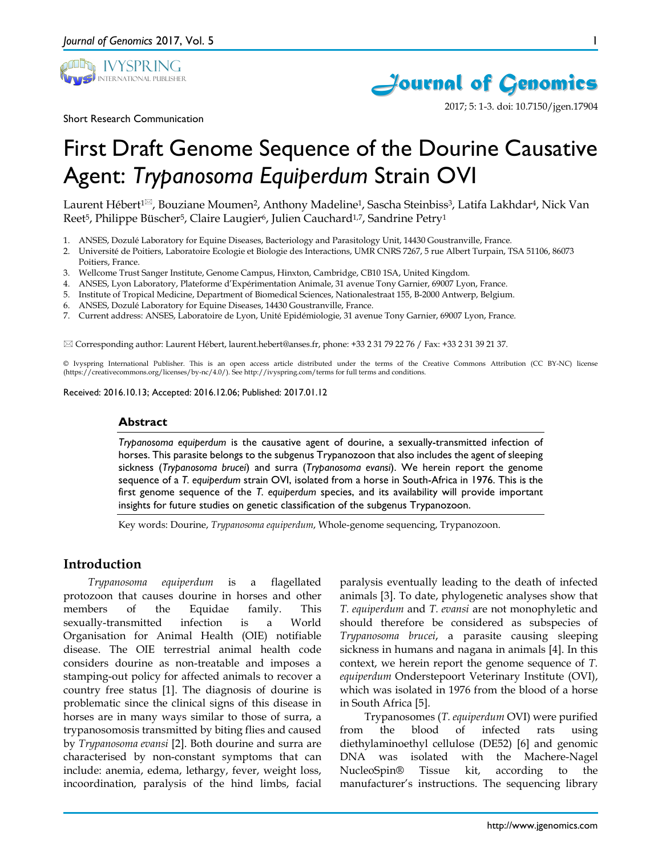



2017; 5: 1-3. doi: 10.7150/jgen.17904

Short Research Communication

# First Draft Genome Sequence of the Dourine Causative Agent: *Trypanosoma Equiperdum* Strain OVI

Laurent Hébert<sup>1⊠</sup>, Bouziane Moumen<sup>2</sup>, Anthony Madeline<sup>1</sup>, Sascha Steinbiss<sup>3</sup>, Latifa Lakhdar<sup>4</sup>, Nick Van Reet<sup>5</sup>, Philippe Büscher<sup>5</sup>, Claire Laugier<sup>6</sup>, Julien Cauchard<sup>1,7</sup>, Sandrine Petry<sup>1</sup>

- 1. ANSES, Dozulé Laboratory for Equine Diseases, Bacteriology and Parasitology Unit, 14430 Goustranville, France.
- 2. Université de Poitiers, Laboratoire Ecologie et Biologie des Interactions, UMR CNRS 7267, 5 rue Albert Turpain, TSA 51106, 86073 Poitiers, France.
- 3. Wellcome Trust Sanger Institute, Genome Campus, Hinxton, Cambridge, CB10 1SA, United Kingdom.
- 4. ANSES, Lyon Laboratory, Plateforme d'Expérimentation Animale, 31 avenue Tony Garnier, 69007 Lyon, France.
- 5. Institute of Tropical Medicine, Department of Biomedical Sciences, Nationalestraat 155, B-2000 Antwerp, Belgium.
- 6. ANSES, Dozulé Laboratory for Equine Diseases, 14430 Goustranville, France.
- 7. Current address: ANSES, Laboratoire de Lyon, Unité Epidémiologie, 31 avenue Tony Garnier, 69007 Lyon, France.

 $\boxtimes$  Corresponding author: Laurent Hébert, laurent.hebert@anses.fr, phone: +33 2 31 79 22 76 / Fax: +33 2 31 39 21 37.

© Ivyspring International Publisher. This is an open access article distributed under the terms of the Creative Commons Attribution (CC BY-NC) license (https://creativecommons.org/licenses/by-nc/4.0/). See http://ivyspring.com/terms for full terms and conditions.

Received: 2016.10.13; Accepted: 2016.12.06; Published: 2017.01.12

### **Abstract**

*Trypanosoma equiperdum* is the causative agent of dourine, a sexually-transmitted infection of horses. This parasite belongs to the subgenus Trypanozoon that also includes the agent of sleeping sickness (*Trypanosoma brucei*) and surra (*Trypanosoma evansi*). We herein report the genome sequence of a *T. equiperdum* strain OVI, isolated from a horse in South-Africa in 1976. This is the first genome sequence of the *T. equiperdum* species, and its availability will provide important insights for future studies on genetic classification of the subgenus Trypanozoon.

Key words: Dourine, *Trypanosoma equiperdum*, Whole-genome sequencing, Trypanozoon.

# **Introduction**

*Trypanosoma equiperdum* is a flagellated protozoon that causes dourine in horses and other members of the Equidae family. This sexually-transmitted infection is a World Organisation for Animal Health (OIE) notifiable disease. The OIE terrestrial animal health code considers dourine as non-treatable and imposes a stamping-out policy for affected animals to recover a country free status [1]. The diagnosis of dourine is problematic since the clinical signs of this disease in horses are in many ways similar to those of surra, a trypanosomosis transmitted by biting flies and caused by *Trypanosoma evansi* [2]. Both dourine and surra are characterised by non-constant symptoms that can include: anemia, edema, lethargy, fever, weight loss, incoordination, paralysis of the hind limbs, facial

paralysis eventually leading to the death of infected animals [3]. To date, phylogenetic analyses show that *T. equiperdum* and *T. evansi* are not monophyletic and should therefore be considered as subspecies of *Trypanosoma brucei*, a parasite causing sleeping sickness in humans and nagana in animals [4]. In this context, we herein report the genome sequence of *T. equiperdum* Onderstepoort Veterinary Institute (OVI), which was isolated in 1976 from the blood of a horse in South Africa [5].

Trypanosomes (*T. equiperdum* OVI) were purified from the blood of infected rats using diethylaminoethyl cellulose (DE52) [6] and genomic DNA was isolated with the Machere-Nagel NucleoSpin® Tissue kit, according to the manufacturer's instructions. The sequencing library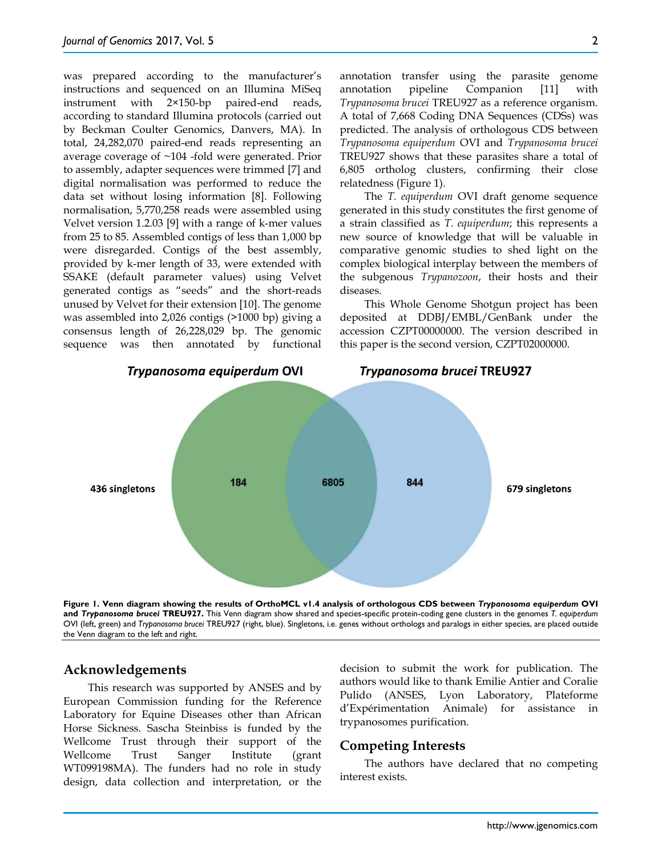was prepared according to the manufacturer's instructions and sequenced on an Illumina MiSeq instrument with 2×150-bp paired-end reads, according to standard Illumina protocols (carried out by Beckman Coulter Genomics, Danvers, MA). In total, 24,282,070 paired-end reads representing an average coverage of ~104 -fold were generated. Prior to assembly, adapter sequences were trimmed [7] and digital normalisation was performed to reduce the data set without losing information [8]. Following normalisation, 5,770,258 reads were assembled using Velvet version 1.2.03 [9] with a range of k-mer values from 25 to 85. Assembled contigs of less than 1,000 bp were disregarded. Contigs of the best assembly, provided by k-mer length of 33, were extended with SSAKE (default parameter values) using Velvet generated contigs as "seeds" and the short-reads unused by Velvet for their extension [10]. The genome was assembled into 2,026 contigs (>1000 bp) giving a consensus length of 26,228,029 bp. The genomic sequence was then annotated by functional

annotation transfer using the parasite genome annotation pipeline Companion [11] with *Trypanosoma brucei* TREU927 as a reference organism. A total of 7,668 Coding DNA Sequences (CDSs) was predicted. The analysis of orthologous CDS between *Trypanosoma equiperdum* OVI and *Trypanosoma brucei* TREU927 shows that these parasites share a total of 6,805 ortholog clusters, confirming their close relatedness (Figure 1).

The *T. equiperdum* OVI draft genome sequence generated in this study constitutes the first genome of a strain classified as *T. equiperdum*; this represents a new source of knowledge that will be valuable in comparative genomic studies to shed light on the complex biological interplay between the members of the subgenous *Trypanozoon*, their hosts and their diseases.

This Whole Genome Shotgun project has been deposited at DDBJ/EMBL/GenBank under the accession CZPT00000000. The version described in this paper is the second version, CZPT02000000.



**Figure 1. Venn diagram showing the results of OrthoMCL v1.4 analysis of orthologous CDS between** *Trypanosoma equiperdum* **OVI and** *Trypanosoma brucei* **TREU927.** This Venn diagram show shared and species-specific protein-coding gene clusters in the genomes *T. equiperdum* OVI (left, green) and *Trypanosoma brucei* TREU927 (right, blue). Singletons, i.e. genes without orthologs and paralogs in either species, are placed outside the Venn diagram to the left and right.

## **Acknowledgements**

This research was supported by ANSES and by European Commission funding for the Reference Laboratory for Equine Diseases other than African Horse Sickness. Sascha Steinbiss is funded by the Wellcome Trust through their support of the Wellcome Trust Sanger Institute (grant WT099198MA). The funders had no role in study design, data collection and interpretation, or the

decision to submit the work for publication. The authors would like to thank Emilie Antier and Coralie Pulido (ANSES, Lyon Laboratory, Plateforme d'Expérimentation Animale) for assistance in trypanosomes purification.

### **Competing Interests**

The authors have declared that no competing interest exists.